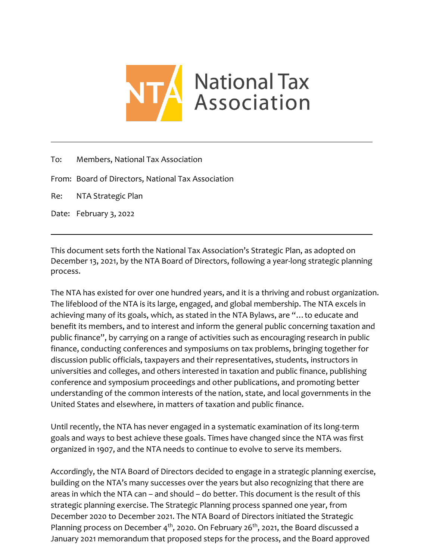

To: Members, National Tax Association

From: Board of Directors, National Tax Association

Re: NTA Strategic Plan

Date: February 3, 2022

This document sets forth the National Tax Association's Strategic Plan, as adopted on December 13, 2021, by the NTA Board of Directors, following a year-long strategic planning process.

The NTA has existed for over one hundred years, and it is a thriving and robust organization. The lifeblood of the NTA is its large, engaged, and global membership. The NTA excels in achieving many of its goals, which, as stated in the NTA Bylaws, are "…to educate and benefit its members, and to interest and inform the general public concerning taxation and public finance", by carrying on a range of activities such as encouraging research in public finance, conducting conferences and symposiums on tax problems, bringing together for discussion public officials, taxpayers and their representatives, students, instructors in universities and colleges, and others interested in taxation and public finance, publishing conference and symposium proceedings and other publications, and promoting better understanding of the common interests of the nation, state, and local governments in the United States and elsewhere, in matters of taxation and public finance.

Until recently, the NTA has never engaged in a systematic examination of its long-term goals and ways to best achieve these goals. Times have changed since the NTA was first organized in 1907, and the NTA needs to continue to evolve to serve its members.

Accordingly, the NTA Board of Directors decided to engage in a strategic planning exercise, building on the NTA's many successes over the years but also recognizing that there are areas in which the NTA can – and should – do better. This document is the result of this strategic planning exercise. The Strategic Planning process spanned one year, from December 2020 to December 2021. The NTA Board of Directors initiated the Strategic Planning process on December  $4<sup>th</sup>$ , 2020. On February 26<sup>th</sup>, 2021, the Board discussed a January 2021 memorandum that proposed steps for the process, and the Board approved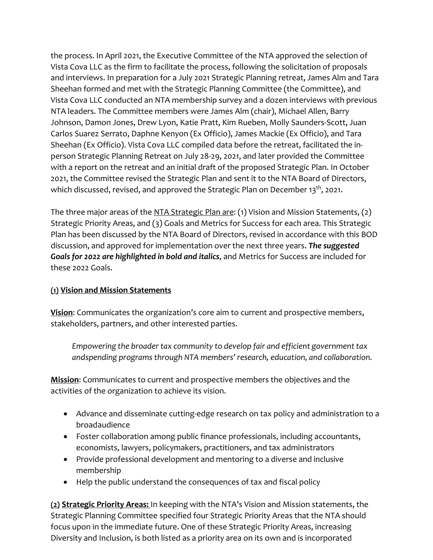the process. In April 2021, the Executive Committee of the NTA approved the selection of Vista Cova LLC as the firm to facilitate the process, following the solicitation of proposals and interviews. In preparation for a July 2021 Strategic Planning retreat, James Alm and Tara Sheehan formed and met with the Strategic Planning Committee (the Committee), and Vista Cova LLC conducted an NTA membership survey and a dozen interviews with previous NTA leaders. The Committee members were James Alm (chair), Michael Allen, Barry Johnson, Damon Jones, Drew Lyon, Katie Pratt, Kim Rueben, Molly Saunders-Scott, Juan Carlos Suarez Serrato, Daphne Kenyon (Ex Officio), James Mackie (Ex Officio), and Tara Sheehan (Ex Officio). Vista Cova LLC compiled data before the retreat, facilitated the inperson Strategic Planning Retreat on July 28-29, 2021, and later provided the Committee with a report on the retreat and an initial draft of the proposed Strategic Plan. In October 2021, the Committee revised the Strategic Plan and sent it to the NTA Board of Directors, which discussed, revised, and approved the Strategic Plan on December  $13<sup>th</sup>$ , 2021.

The three major areas of the NTA Strategic Plan are: (1) Vision and Mission Statements, (2) Strategic Priority Areas, and (3) Goals and Metrics for Success for each area. This Strategic Plan has been discussed by the NTA Board of Directors, revised in accordance with this BOD discussion, and approved for implementation over the next three years. *The suggested Goals for 2022 are highlighted in bold and italics*, and Metrics for Success are included for these 2022 Goals.

# **(1) Vision and Mission Statements**

**Vision**: Communicates the organization's core aim to current and prospective members, stakeholders, partners, and other interested parties.

*Empowering the broader tax community to develop fair and efficient governmenttax andspending programsthrough NTA members' research, education, and collaboration.*

**Mission**: Communicates to current and prospective members the objectives and the activities of the organization to achieve its vision.

- Advance and disseminate cutting-edge research on tax policy and administration to a broadaudience
- Foster collaboration among public finance professionals, including accountants, economists, lawyers, policymakers, practitioners, and tax administrators
- Provide professional development and mentoring to a diverse and inclusive membership
- Help the public understand the consequences of tax and fiscal policy

**(2) Strategic Priority Areas:** In keeping with the NTA's Vision and Mission statements, the Strategic Planning Committee specified four Strategic Priority Areas that the NTA should focus upon in the immediate future. One of these Strategic Priority Areas, increasing Diversity and Inclusion, is both listed as a priority area on its own and is incorporated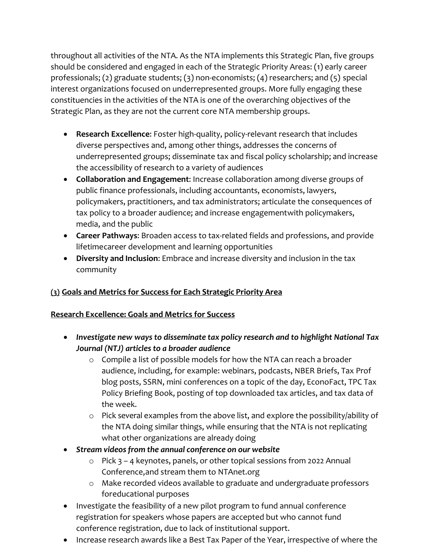throughout all activities of the NTA. As the NTA implements this Strategic Plan, five groups should be considered and engaged in each of the Strategic Priority Areas: (1) early career professionals; (2) graduate students; (3) non-economists; (4) researchers; and (5) special interest organizations focused on underrepresented groups. More fully engaging these constituencies in the activities of the NTA is one of the overarching objectives of the Strategic Plan, as they are not the current core NTA membership groups.

- **Research Excellence**: Foster high-quality, policy-relevant research that includes diverse perspectives and, among other things, addresses the concerns of underrepresented groups; disseminate tax and fiscal policy scholarship; and increase the accessibility of research to a variety of audiences
- **Collaboration and Engagement**: Increase collaboration among diverse groups of public finance professionals, including accountants, economists, lawyers, policymakers, practitioners, and tax administrators; articulate the consequences of tax policy to a broader audience; and increase engagementwith policymakers, media, and the public
- **Career Pathways**: Broaden access to tax-related fields and professions, and provide lifetimecareer development and learning opportunities
- **Diversity and Inclusion**: Embrace and increase diversity and inclusion in the tax community

# **(3) Goals and Metrics for Success for Each Strategic Priority Area**

# **Research Excellence: Goals and Metrics for Success**

- *Investigate new ways to disseminate tax policy research and to highlight National Tax Journal (NTJ) articles to a broader audience*
	- o Compile a list of possible models for how the NTA can reach a broader audience, including, for example: webinars, podcasts, NBER Briefs, Tax Prof blog posts, SSRN, mini conferences on a topic of the day, EconoFact, TPC Tax Policy Briefing Book, posting of top downloaded tax articles, and tax data of the week.
	- o Pick several examples from the above list, and explore the possibility/ability of the NTA doing similar things, while ensuring that the NTA is not replicating what other organizations are already doing
- *Stream videos from the annual conference on our website*
	- o Pick 3 4 keynotes, panels, or other topical sessions from 2022 Annual Conference,and stream them to NTAnet.org
	- o Make recorded videos available to graduate and undergraduate professors foreducational purposes
- Investigate the feasibility of a new pilot program to fund annual conference registration for speakers whose papers are accepted but who cannot fund conference registration, due to lack of institutional support.
- Increase research awards like a Best Tax Paper of the Year, irrespective of where the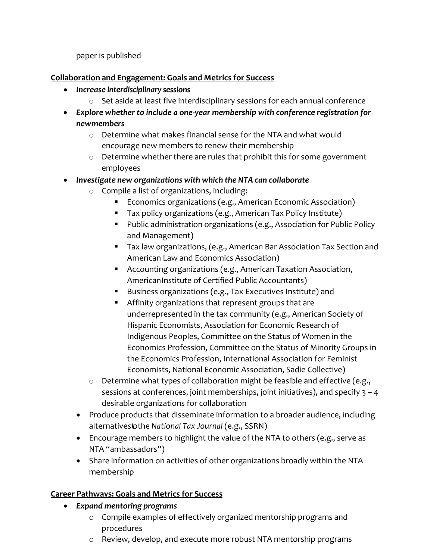paper is published

**Collaboration and Engagement: Goals and Metrics for Success**

- *Increase interdisciplinary sessions*
	- o Set aside at least five interdisciplinary sessions for each annual conference
- *Explore whether to include a one-year membership with conference registration for newmembers* 
	- o Determine what makes financial sense for the NTA and what would encourage new members to renew their membership
	- o Determine whether there are rules that prohibit this for some government employees
- *Investigate new organizations with which the NTA can collaborate*
	- o Compile a list of organizations, including:
		- **Economics organizations (e.g., American Economic Association)**
		- **Tax policy organizations (e.g., American Tax Policy Institute)**
		- Public administration organizations (e.g., Association for Public Policy and Management)
		- Tax law organizations, (e.g., American Bar Association Tax Section and American Law and Economics Association)
		- Accounting organizations (e.g., American Taxation Association, AmericanInstitute of Certified Public Accountants)
		- Business organizations (e.g., Tax Executives Institute) and
		- Affinity organizations that represent groups that are underrepresented in the tax community (e.g., American Society of Hispanic Economists, Association for Economic Research of Indigenous Peoples, Committee on the Status of Women in the Economics Profession, Committee on the Status of Minority Groups in the Economics Profession, International Association for Feminist Economists, National Economic Association, Sadie Collective)
	- o Determine what types of collaboration might be feasible and effective (e.g., sessions at conferences, joint memberships, joint initiatives), and specify  $3 - 4$ desirable organizations for collaboration
	- Produce products that disseminate information to a broader audience, including alternativestothe *National Tax Journal* (e.g., SSRN)
	- Encourage members to highlight the value of the NTA to others (e.g., serve as NTA "ambassadors")
	- Share information on activities of other organizations broadly within the NTA membership

# **Career Pathways: Goals and Metrics for Success**

- *Expand mentoring programs* 
	- o Compile examples of effectively organized mentorship programs and procedures
	- o Review, develop, and execute more robust NTA mentorship programs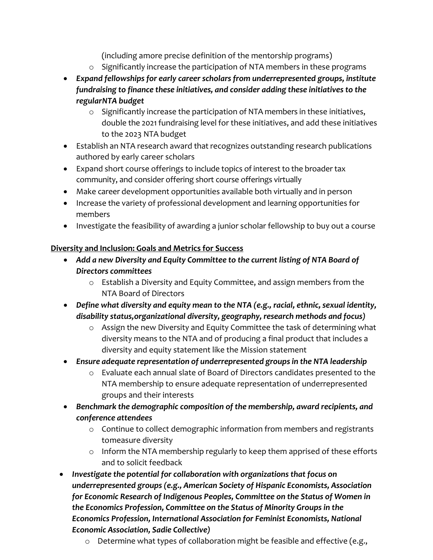(including amore precise definition of the mentorship programs)

- o Significantly increase the participation of NTA members in these programs
- *Expand fellowships for early career scholars from underrepresented groups, institute fundraising to finance these initiatives, and consider adding these initiatives to the regularNTA budget*
	- $\circ$  Significantly increase the participation of NTA members in these initiatives, double the 2021 fundraising level for these initiatives, and add these initiatives to the 2023 NTA budget
- Establish an NTA research award that recognizes outstanding research publications authored by early career scholars
- Expand short course offerings to include topics of interest to the broader tax community, and consider offering short course offerings virtually
- Make career development opportunities available both virtually and in person
- Increase the variety of professional development and learning opportunities for members
- Investigate the feasibility of awarding a junior scholar fellowship to buy out a course

## **Diversity and Inclusion: Goals and Metrics for Success**

- Add a new Diversity and Equity Committee to the current listing of NTA Board of *Directors committees*
	- o Establish a Diversity and Equity Committee, and assign members from the NTA Board of Directors
- *Define what diversity and equity mean to the NTA (e.g., racial, ethnic, sexual identity, disability status,organizational diversity, geography, research methods and focus)*
	- $\circ$  Assign the new Diversity and Equity Committee the task of determining what diversity means to the NTA and of producing a final product that includes a diversity and equity statement like the Mission statement
- *Ensure adequate representation of underrepresented groupsin the NTA leadership*
	- o Evaluate each annual slate of Board of Directors candidates presented to the NTA membership to ensure adequate representation of underrepresented groups and their interests
- *Benchmark the demographic composition of the membership, award recipients, and conference attendees*
	- o Continue to collect demographic information from members and registrants tomeasure diversity
	- o Inform the NTA membership regularly to keep them apprised of these efforts and to solicit feedback
- *Investigate the potential for collaboration with organizations that focus on underrepresented groups (e.g., American Society of Hispanic Economists, Association for Economic Research of Indigenous Peoples, Committee on the Status of Women in the Economics Profession, Committee on the Status of Minority Groups in the Economics Profession, International Association for Feminist Economists, National Economic Association, Sadie Collective)*
	- o Determine what types of collaboration might be feasible and effective (e.g.,